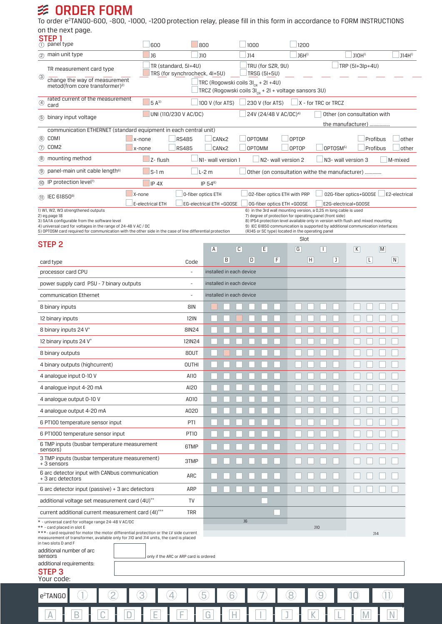## **多 ORDER FORM**

To order e<sup>2</sup>TANG0-600, -800, -1000, -1200 protection relay, please fill in this form in accordance to FORM INSTRUCTIONS on the next page.

| STEP <sub>1</sub>                                                                                | $(1)$ panel type                                                                                                                                                                                                             | 600                                      |                                                                                                                    | 800                                                                                                                                      |                          | 1000                              |                                                  |                 | 1200                                                                                                                                                                                                                   |   |                   |              |               |
|--------------------------------------------------------------------------------------------------|------------------------------------------------------------------------------------------------------------------------------------------------------------------------------------------------------------------------------|------------------------------------------|--------------------------------------------------------------------------------------------------------------------|------------------------------------------------------------------------------------------------------------------------------------------|--------------------------|-----------------------------------|--------------------------------------------------|-----------------|------------------------------------------------------------------------------------------------------------------------------------------------------------------------------------------------------------------------|---|-------------------|--------------|---------------|
|                                                                                                  | 2 main unit type                                                                                                                                                                                                             | <b>J6</b><br><b>J10</b>                  |                                                                                                                    |                                                                                                                                          |                          | <b>J14</b>                        |                                                  |                 | JGH <sup>1</sup>                                                                                                                                                                                                       |   | J1OH <sup>1</sup> |              | $J14H^{1}$    |
|                                                                                                  | TR measurement card type                                                                                                                                                                                                     |                                          | TR (standard, 5I+4U)                                                                                               |                                                                                                                                          |                          |                                   | TRU (for SZR, 9U)                                | TRP (5I+3lp+4U) |                                                                                                                                                                                                                        |   |                   |              |               |
| ☺                                                                                                | change the way of measurement                                                                                                                                                                                                |                                          | TRS (for synchrocheck, 4I+5U)<br>TRSG (5I+5U)                                                                      |                                                                                                                                          |                          |                                   |                                                  |                 |                                                                                                                                                                                                                        |   |                   |              |               |
|                                                                                                  | metod(from core transformer) <sup>2)</sup>                                                                                                                                                                                   |                                          | TRC (Rogowski coils 3I <sub>CR</sub> + 2I +4U)<br>TRCZ (Rogowski coils 3I <sub>CR</sub> + 2I + voltage sansors 3U) |                                                                                                                                          |                          |                                   |                                                  |                 |                                                                                                                                                                                                                        |   |                   |              |               |
| ④                                                                                                | rated current of the measurement<br>card                                                                                                                                                                                     | 100 V (for ATS)                          |                                                                                                                    |                                                                                                                                          | 230 V (for ATS)          |                                   | $\Box$ X - for TRC or TRCZ                       |                 |                                                                                                                                                                                                                        |   |                   |              |               |
|                                                                                                  | 5 binary input voltage                                                                                                                                                                                                       | UNI (110/230 V AC/DC)                    |                                                                                                                    |                                                                                                                                          |                          | 24V (24/48 V AC/DC) <sup>4)</sup> |                                                  |                 | Other (on consultation with                                                                                                                                                                                            |   |                   |              |               |
|                                                                                                  | communication ETHERNET (standard equipment in each central unit)                                                                                                                                                             |                                          |                                                                                                                    |                                                                                                                                          |                          |                                   | the manufacturer)                                |                 |                                                                                                                                                                                                                        |   |                   |              |               |
| 6 COM1                                                                                           |                                                                                                                                                                                                                              | CANx2<br><b>OPTOMM</b>                   |                                                                                                                    |                                                                                                                                          |                          |                                   | <b>OPTOP</b><br>Profibus                         |                 |                                                                                                                                                                                                                        |   | other             |              |               |
| 7 COM2                                                                                           |                                                                                                                                                                                                                              | CAN <sub>x2</sub><br><b>OPTOMM</b>       |                                                                                                                    |                                                                                                                                          |                          |                                   | <b>OPTOP</b><br>OPTOSM <sup>5)</sup><br>Profibus |                 |                                                                                                                                                                                                                        |   | other             |              |               |
|                                                                                                  | 8 mounting method                                                                                                                                                                                                            | N1- wall version 1<br>N2- wall version 2 |                                                                                                                    |                                                                                                                                          |                          |                                   | N3- wall version 3<br>M-mixed                    |                 |                                                                                                                                                                                                                        |   |                   |              |               |
| (9)                                                                                              | panel-main unit cable length <sup>6)</sup><br>$S-1$ m<br>$L-2m$<br>Other (on consultation withe the manufacturer)<br>(ii) IP protection level <sup>7)</sup>                                                                  |                                          |                                                                                                                    |                                                                                                                                          |                          |                                   |                                                  |                 |                                                                                                                                                                                                                        |   |                   |              |               |
|                                                                                                  |                                                                                                                                                                                                                              | IP <sub>4X</sub><br>X-none               | 0-fiber optics ETH                                                                                                 | $IP 54^{8}$                                                                                                                              |                          |                                   |                                                  |                 |                                                                                                                                                                                                                        |   |                   |              | E2-electrical |
|                                                                                                  | (1) IEC 61850 <sup>9)</sup>                                                                                                                                                                                                  | E-electrical ETH                         |                                                                                                                    | 02G-fiber optics+G00SE<br>02-fiber optics ETH with PRP<br>EG-electrical ETH +GOOSE<br>OG-fiber optics ETH +GOOSE<br>E2G-electrical+G00SE |                          |                                   |                                                  |                 |                                                                                                                                                                                                                        |   |                   |              |               |
| 2) eg.page 18                                                                                    | 1) W1, W2, W3 strengthened outputs                                                                                                                                                                                           |                                          |                                                                                                                    |                                                                                                                                          |                          |                                   |                                                  |                 | 6) in the 3rd wall mounting version, a 0,25 m long cable is used<br>7) degree of protection for operating panel (front side)                                                                                           |   |                   |              |               |
|                                                                                                  | 3) 5A/1A configurable from the software level<br>4) universal card for voltages in the range of 24-48 V AC / DC<br>5) OPTOSM card required for communication with the other side in the case of line differential protection |                                          |                                                                                                                    |                                                                                                                                          |                          |                                   |                                                  |                 | 8) IP54 protection level available only in version with flush and mixed mounting<br>9) IEC 61850 communication is supported by additional communication interfaces<br>(RJ45 or SC type) located in the operating panel |   |                   |              |               |
| STEP 2                                                                                           |                                                                                                                                                                                                                              |                                          |                                                                                                                    |                                                                                                                                          |                          |                                   |                                                  |                 | Slot                                                                                                                                                                                                                   |   |                   |              |               |
|                                                                                                  |                                                                                                                                                                                                                              |                                          |                                                                                                                    | A                                                                                                                                        | C                        |                                   | E                                                | G               | Ш                                                                                                                                                                                                                      |   | K                 | $\mathsf{M}$ |               |
| card type                                                                                        |                                                                                                                                                                                                                              |                                          | Code                                                                                                               |                                                                                                                                          | B                        | D                                 | F                                                |                 | $\overline{H}$                                                                                                                                                                                                         | J | L                 |              | N             |
|                                                                                                  | processor card CPU                                                                                                                                                                                                           |                                          |                                                                                                                    |                                                                                                                                          | installed in each device |                                   |                                                  |                 |                                                                                                                                                                                                                        |   |                   |              |               |
|                                                                                                  | power supply card PSU - 7 binary outputs                                                                                                                                                                                     |                                          | ٠                                                                                                                  |                                                                                                                                          | installed in each device |                                   |                                                  |                 |                                                                                                                                                                                                                        |   |                   |              |               |
|                                                                                                  | communication Ethernet                                                                                                                                                                                                       |                                          | $\overline{\phantom{a}}$                                                                                           |                                                                                                                                          | installed in each device |                                   |                                                  |                 |                                                                                                                                                                                                                        |   |                   |              |               |
|                                                                                                  | 8 binary inputs                                                                                                                                                                                                              |                                          | 8IN                                                                                                                |                                                                                                                                          |                          |                                   |                                                  |                 |                                                                                                                                                                                                                        |   |                   |              |               |
|                                                                                                  | 12 binary inputs                                                                                                                                                                                                             |                                          | <b>12IN</b>                                                                                                        |                                                                                                                                          |                          |                                   |                                                  |                 |                                                                                                                                                                                                                        |   |                   |              |               |
|                                                                                                  | 8 binary inputs 24 V*                                                                                                                                                                                                        |                                          | <b>8IN24</b>                                                                                                       |                                                                                                                                          |                          |                                   |                                                  |                 |                                                                                                                                                                                                                        |   |                   |              |               |
|                                                                                                  | 12 binary inputs 24 V*                                                                                                                                                                                                       |                                          | 12IN24                                                                                                             |                                                                                                                                          |                          |                                   |                                                  |                 |                                                                                                                                                                                                                        |   |                   |              |               |
|                                                                                                  | 8 binary outputs                                                                                                                                                                                                             |                                          | 80UT                                                                                                               |                                                                                                                                          |                          |                                   |                                                  |                 |                                                                                                                                                                                                                        |   |                   |              |               |
|                                                                                                  | 4 binary outputs (highcurrent)                                                                                                                                                                                               |                                          | <b>OUTHI</b>                                                                                                       |                                                                                                                                          |                          |                                   |                                                  |                 |                                                                                                                                                                                                                        |   |                   |              |               |
|                                                                                                  | 4 analogue input 0-10 V                                                                                                                                                                                                      |                                          | AI10                                                                                                               |                                                                                                                                          |                          |                                   |                                                  |                 |                                                                                                                                                                                                                        |   |                   |              |               |
| AI20<br>4 analogue input 4-20 mA                                                                 |                                                                                                                                                                                                                              |                                          |                                                                                                                    |                                                                                                                                          |                          |                                   |                                                  |                 |                                                                                                                                                                                                                        |   |                   |              |               |
| A010<br>4 analogue output 0-10 V                                                                 |                                                                                                                                                                                                                              |                                          |                                                                                                                    |                                                                                                                                          |                          |                                   |                                                  |                 |                                                                                                                                                                                                                        |   |                   |              |               |
| A020<br>4 analogue output 4-20 mA                                                                |                                                                                                                                                                                                                              |                                          |                                                                                                                    |                                                                                                                                          |                          |                                   |                                                  |                 |                                                                                                                                                                                                                        |   |                   |              |               |
| PT1<br>6 PT100 temperature sensor input                                                          |                                                                                                                                                                                                                              |                                          |                                                                                                                    |                                                                                                                                          |                          |                                   |                                                  |                 |                                                                                                                                                                                                                        |   |                   |              |               |
| <b>PT10</b><br>6 PT1000 temperature sensor input<br>6 TMP inputs (busbar temperature measurement |                                                                                                                                                                                                                              |                                          |                                                                                                                    |                                                                                                                                          |                          |                                   |                                                  |                 |                                                                                                                                                                                                                        |   |                   |              |               |
| 6TMP<br>sensors)                                                                                 |                                                                                                                                                                                                                              |                                          |                                                                                                                    |                                                                                                                                          |                          |                                   |                                                  |                 |                                                                                                                                                                                                                        |   |                   |              |               |
| 3 TMP inputs (busbar temperature measurement)<br>3TMP<br>+ 3 sensors                             |                                                                                                                                                                                                                              |                                          |                                                                                                                    |                                                                                                                                          |                          |                                   |                                                  |                 |                                                                                                                                                                                                                        |   |                   |              |               |
| 6 arc detector input with CANbus communication<br>ARC<br>+ 3 arc detectors                       |                                                                                                                                                                                                                              |                                          |                                                                                                                    |                                                                                                                                          |                          |                                   |                                                  |                 |                                                                                                                                                                                                                        |   |                   |              |               |
| 6 arc detector input (passive) $+$ 3 arc detectors<br>ARP                                        |                                                                                                                                                                                                                              |                                          |                                                                                                                    |                                                                                                                                          |                          |                                   |                                                  |                 |                                                                                                                                                                                                                        |   |                   |              |               |
|                                                                                                  | additional voltage set measurement card (4U)**                                                                                                                                                                               |                                          | TV                                                                                                                 |                                                                                                                                          |                          |                                   |                                                  |                 |                                                                                                                                                                                                                        |   |                   |              |               |
|                                                                                                  | current additional current measurement card (4I)***                                                                                                                                                                          |                                          |                                                                                                                    |                                                                                                                                          |                          |                                   |                                                  |                 |                                                                                                                                                                                                                        |   |                   |              |               |
| * - universal card for voltage range 24-48 V AC/DC<br>** - card placed in slot E                 |                                                                                                                                                                                                                              |                                          |                                                                                                                    |                                                                                                                                          |                          | J6                                |                                                  |                 | <b>J10</b>                                                                                                                                                                                                             |   |                   |              |               |
|                                                                                                  | ***- card required for motor the motor differential protection or the LV side current<br>measurement of transformer, available only for J10 and J14 units, the card is placed                                                |                                          |                                                                                                                    |                                                                                                                                          |                          |                                   |                                                  |                 |                                                                                                                                                                                                                        |   |                   | J14          |               |
|                                                                                                  | in two slots D and F<br>additional number of arc                                                                                                                                                                             |                                          |                                                                                                                    |                                                                                                                                          |                          |                                   |                                                  |                 |                                                                                                                                                                                                                        |   |                   |              |               |
| sensors                                                                                          | additional requirements:                                                                                                                                                                                                     |                                          | only if the ARC or ARP card is ordered                                                                             |                                                                                                                                          |                          |                                   |                                                  |                 |                                                                                                                                                                                                                        |   |                   |              |               |
| <b>STEP 3</b>                                                                                    |                                                                                                                                                                                                                              |                                          |                                                                                                                    |                                                                                                                                          |                          |                                   |                                                  |                 |                                                                                                                                                                                                                        |   |                   |              |               |
|                                                                                                  | Your code:                                                                                                                                                                                                                   |                                          |                                                                                                                    |                                                                                                                                          |                          |                                   |                                                  |                 |                                                                                                                                                                                                                        |   |                   |              |               |
|                                                                                                  | e <sup>2</sup> TANGO                                                                                                                                                                                                         | 3                                        |                                                                                                                    | 5                                                                                                                                        | 6                        |                                   |                                                  |                 |                                                                                                                                                                                                                        |   |                   |              |               |
|                                                                                                  |                                                                                                                                                                                                                              |                                          |                                                                                                                    |                                                                                                                                          |                          |                                   |                                                  |                 |                                                                                                                                                                                                                        |   |                   |              |               |
|                                                                                                  |                                                                                                                                                                                                                              |                                          |                                                                                                                    |                                                                                                                                          |                          |                                   |                                                  |                 |                                                                                                                                                                                                                        |   |                   |              |               |